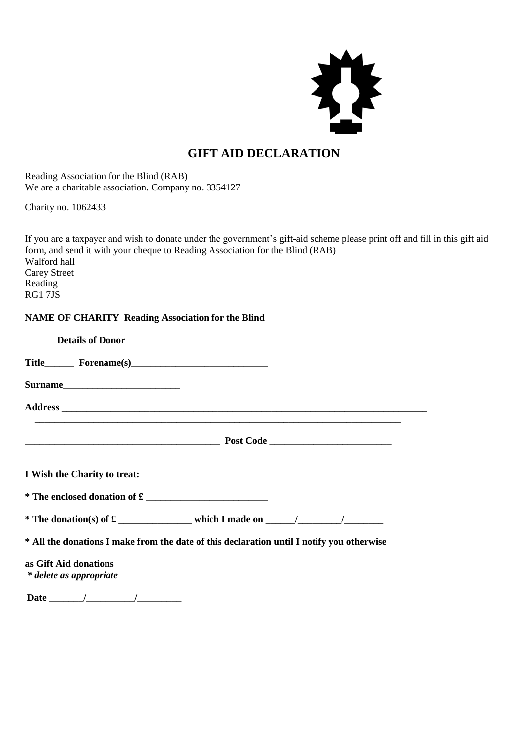

## **GIFT AID DECLARATION**

Reading Association for the Blind (RAB) We are a charitable association. Company no. 3354127

Charity no. 1062433

If you are a taxpayer and wish to donate under the government's gift-aid scheme please print off and fill in this gift aid form, and send it with your cheque to Reading Association for the Blind (RAB) Walford hall Carey Street Reading RG1 7JS

## **NAME OF CHARITY Reading Association for the Blind**

| <b>Details of Donor</b>                                                                   |  |  |
|-------------------------------------------------------------------------------------------|--|--|
|                                                                                           |  |  |
|                                                                                           |  |  |
|                                                                                           |  |  |
|                                                                                           |  |  |
| I Wish the Charity to treat:                                                              |  |  |
| * The enclosed donation of £                                                              |  |  |
|                                                                                           |  |  |
| * All the donations I make from the date of this declaration until I notify you otherwise |  |  |
| as Gift Aid donations<br>* delete as appropriate                                          |  |  |
| <b>Date</b><br>$\sqrt{2}$                                                                 |  |  |